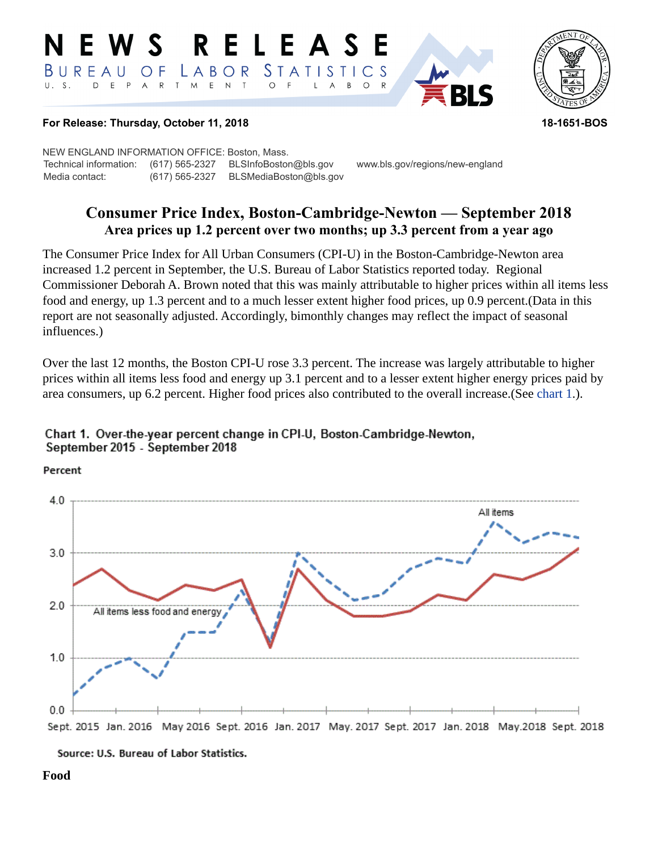#### **RELEASE** W S STATISTICS BUREAU LABOR O F  $E$  N  $T$ D E P  $A$  $\mathsf{R}$ T M  $\circ$ B  $\circ$



#### **For Release: Thursday, October 11, 2018 18-1651-BOS**

NEW ENGLAND INFORMATION OFFICE: Boston, Mass. Technical information: (617) 565-2327 BLSInfoBoston@bls.gov www.bls.gov/regions/new-england Media contact: (617) 565-2327 BLSMediaBoston@bls.gov

# **Consumer Price Index, Boston-Cambridge-Newton — September 2018 Area prices up 1.2 percent over two months; up 3.3 percent from a year ago**

The Consumer Price Index for All Urban Consumers (CPI-U) in the Boston-Cambridge-Newton area increased 1.2 percent in September, the U.S. Bureau of Labor Statistics reported today. Regional Commissioner Deborah A. Brown noted that this was mainly attributable to higher prices within all items less food and energy, up 1.3 percent and to a much lesser extent higher food prices, up 0.9 percent.(Data in this report are not seasonally adjusted. Accordingly, bimonthly changes may reflect the impact of seasonal influences.)

Over the last 12 months, the Boston CPI-U rose 3.3 percent. The increase was largely attributable to higher prices within all items less food and energy up 3.1 percent and to a lesser extent higher energy prices paid by area consumers, up 6.2 percent. Higher food prices also contributed to the overall increase.(See [chart 1.](#page-0-0)).

<span id="page-0-0"></span>

Percent



Source: U.S. Bureau of Labor Statistics.

**Food**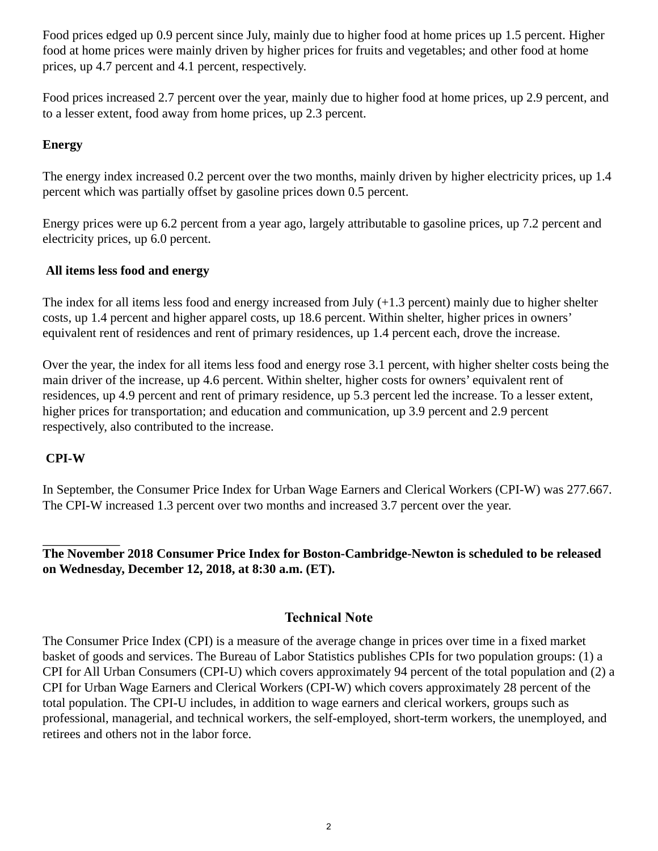Food prices edged up 0.9 percent since July, mainly due to higher food at home prices up 1.5 percent. Higher food at home prices were mainly driven by higher prices for fruits and vegetables; and other food at home prices, up 4.7 percent and 4.1 percent, respectively.

Food prices increased 2.7 percent over the year, mainly due to higher food at home prices, up 2.9 percent, and to a lesser extent, food away from home prices, up 2.3 percent.

## **Energy**

The energy index increased 0.2 percent over the two months, mainly driven by higher electricity prices, up 1.4 percent which was partially offset by gasoline prices down 0.5 percent.

Energy prices were up 6.2 percent from a year ago, largely attributable to gasoline prices, up 7.2 percent and electricity prices, up 6.0 percent.

## **All items less food and energy**

The index for all items less food and energy increased from July (+1.3 percent) mainly due to higher shelter costs, up 1.4 percent and higher apparel costs, up 18.6 percent. Within shelter, higher prices in owners' equivalent rent of residences and rent of primary residences, up 1.4 percent each, drove the increase.

Over the year, the index for all items less food and energy rose 3.1 percent, with higher shelter costs being the main driver of the increase, up 4.6 percent. Within shelter, higher costs for owners' equivalent rent of residences, up 4.9 percent and rent of primary residence, up 5.3 percent led the increase. To a lesser extent, higher prices for transportation; and education and communication, up 3.9 percent and 2.9 percent respectively, also contributed to the increase.

## **CPI-W**

In September, the Consumer Price Index for Urban Wage Earners and Clerical Workers (CPI-W) was 277.667. The CPI-W increased 1.3 percent over two months and increased 3.7 percent over the year.

**The November 2018 Consumer Price Index for Boston-Cambridge-Newton is scheduled to be released on Wednesday, December 12, 2018, at 8:30 a.m. (ET).**

## **Technical Note**

The Consumer Price Index (CPI) is a measure of the average change in prices over time in a fixed market basket of goods and services. The Bureau of Labor Statistics publishes CPIs for two population groups: (1) a CPI for All Urban Consumers (CPI-U) which covers approximately 94 percent of the total population and (2) a CPI for Urban Wage Earners and Clerical Workers (CPI-W) which covers approximately 28 percent of the total population. The CPI-U includes, in addition to wage earners and clerical workers, groups such as professional, managerial, and technical workers, the self-employed, short-term workers, the unemployed, and retirees and others not in the labor force.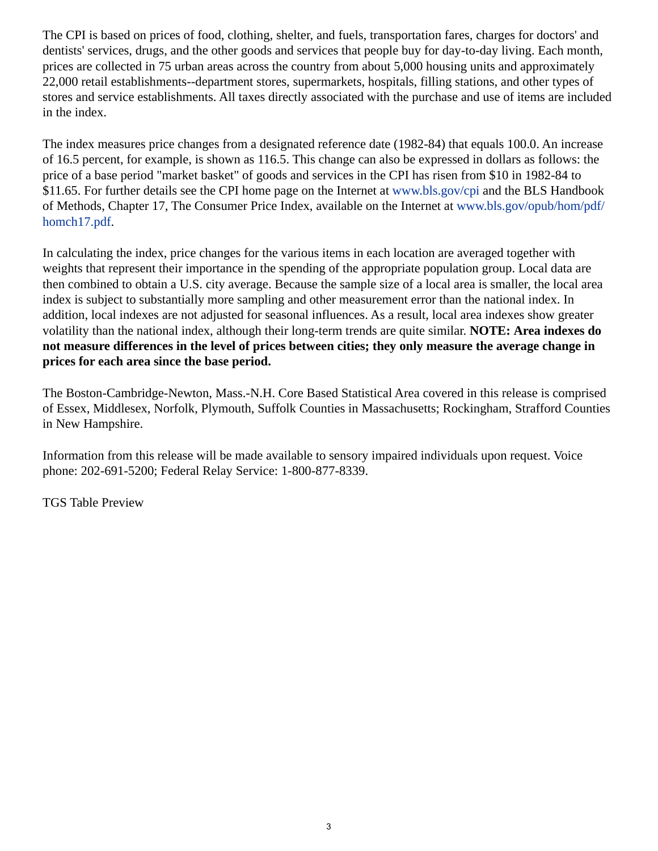The CPI is based on prices of food, clothing, shelter, and fuels, transportation fares, charges for doctors' and dentists' services, drugs, and the other goods and services that people buy for day-to-day living. Each month, prices are collected in 75 urban areas across the country from about 5,000 housing units and approximately 22,000 retail establishments--department stores, supermarkets, hospitals, filling stations, and other types of stores and service establishments. All taxes directly associated with the purchase and use of items are included in the index.

The index measures price changes from a designated reference date (1982-84) that equals 100.0. An increase of 16.5 percent, for example, is shown as 116.5. This change can also be expressed in dollars as follows: the price of a base period "market basket" of goods and services in the CPI has risen from \$10 in 1982-84 to \$11.65. For further details see the CPI home page on the Internet at [www.bls.gov/cpi](https://www.bls.gov/cpi) and the BLS Handbook of Methods, Chapter 17, The Consumer Price Index, available on the Internet at [www.bls.gov/opub/hom/pdf/](https://www.bls.gov/opub/hom/pdf/homch17.pdf) [homch17.pdf](https://www.bls.gov/opub/hom/pdf/homch17.pdf).

In calculating the index, price changes for the various items in each location are averaged together with weights that represent their importance in the spending of the appropriate population group. Local data are then combined to obtain a U.S. city average. Because the sample size of a local area is smaller, the local area index is subject to substantially more sampling and other measurement error than the national index. In addition, local indexes are not adjusted for seasonal influences. As a result, local area indexes show greater volatility than the national index, although their long-term trends are quite similar. **NOTE: Area indexes do not measure differences in the level of prices between cities; they only measure the average change in prices for each area since the base period.**

The Boston-Cambridge-Newton, Mass.-N.H. Core Based Statistical Area covered in this release is comprised of Essex, Middlesex, Norfolk, Plymouth, Suffolk Counties in Massachusetts; Rockingham, Strafford Counties in New Hampshire.

Information from this release will be made available to sensory impaired individuals upon request. Voice phone: 202-691-5200; Federal Relay Service: 1-800-877-8339.

TGS Table Preview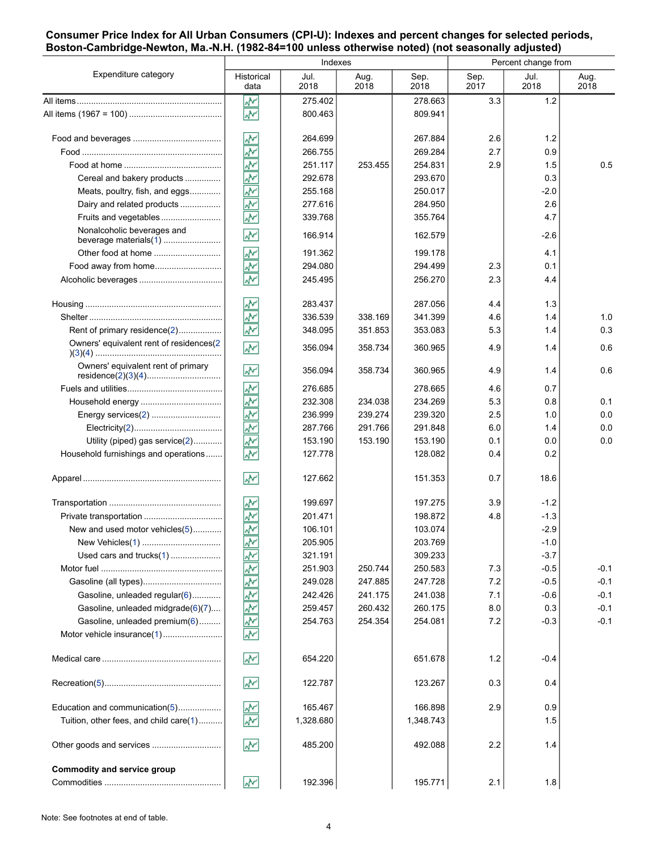#### **Consumer Price Index for All Urban Consumers (CPI-U): Indexes and percent changes for selected periods, Boston-Cambridge-Newton, Ma.-N.H. (1982-84=100 unless otherwise noted) (not seasonally adjusted)**

| Expenditure category                    | Indexes                                  |              |              |              | Percent change from |              |              |
|-----------------------------------------|------------------------------------------|--------------|--------------|--------------|---------------------|--------------|--------------|
|                                         | Historical<br>data                       | Jul.<br>2018 | Aug.<br>2018 | Sep.<br>2018 | Sep.<br>2017        | Jul.<br>2018 | Aug.<br>2018 |
|                                         | ŵ                                        | 275.402      |              | 278.663      | 3.3                 | 1.2          |              |
|                                         | $\overline{\mathcal{N}}$                 | 800.463      |              | 809.941      |                     |              |              |
|                                         | W۰                                       | 264.699      |              | 267.884      | 2.6                 | 1.2          |              |
|                                         | ž                                        | 266.755      |              | 269.284      | 2.7                 | 0.9          |              |
|                                         | ķ                                        | 251.117      | 253.455      | 254.831      | 2.9                 | 1.5          | 0.5          |
| Cereal and bakery products              | ž                                        | 292.678      |              | 293.670      |                     | 0.3          |              |
| Meats, poultry, fish, and eggs          | ž                                        | 255.168      |              | 250.017      |                     | $-2.0$       |              |
| Dairy and related products              | $\overline{\mathbf{r}}$                  | 277.616      |              | 284.950      |                     | 2.6          |              |
| Fruits and vegetables                   | $\overline{\mathbf{v}}$                  | 339.768      |              | 355.764      |                     | 4.7          |              |
| Nonalcoholic beverages and              | W٨                                       | 166.914      |              | 162.579      |                     | $-2.6$       |              |
|                                         | $\overline{\mathbf{v}}$                  | 191.362      |              | 199.178      |                     | 4.1          |              |
| Food away from home                     | $\widehat{\overline{\mathbb{F}}}_a$      | 294.080      |              | 294.499      | 2.3                 | 0.1          |              |
|                                         | W۰                                       | 245.495      |              | 256.270      | 2.3                 | 4.4          |              |
|                                         | ₩                                        | 283.437      |              | 287.056      | 4.4                 | 1.3          |              |
|                                         | ž                                        | 336.539      | 338.169      | 341.399      | 4.6                 | 1.4          | 1.0          |
| Rent of primary residence(2)            | $\overline{\mathbf{v}}$                  | 348.095      | 351.853      | 353.083      | 5.3                 | 1.4          | 0.3          |
| Owners' equivalent rent of residences(2 | W٨                                       | 356.094      | 358.734      | 360.965      | 4.9                 | 1.4          | 0.6          |
| Owners' equivalent rent of primary      | W٨                                       | 356.094      | 358.734      | 360.965      | 4.9                 | 1.4          | 0.6          |
|                                         | ۸V                                       | 276.685      |              | 278.665      | 4.6                 | 0.7          |              |
|                                         | $\widehat{\underline{\mathbb{A}}^{(n)}}$ | 232.308      | 234.038      | 234.269      | 5.3                 | 0.8          | 0.1          |
| Energy services(2)                      | $\big(\frac{\sqrt{N}}{N}\big)$           | 236.999      | 239.274      | 239.320      | 2.5                 | 1.0          | 0.0          |
|                                         | ş                                        | 287.766      | 291.766      | 291.848      | 6.0                 | 1.4          | 0.0          |
| Utility (piped) gas service(2)          | ۸Y                                       | 153.190      | 153.190      | 153.190      | 0.1                 | 0.0          | 0.0          |
| Household furnishings and operations    | $\overline{\mathcal{N}}$                 | 127.778      |              | 128.082      | 0.4                 | 0.2          |              |
|                                         | ۸M                                       | 127.662      |              | 151.353      | 0.7                 | 18.6         |              |
|                                         | W۰                                       | 199.697      |              | 197.275      | 3.9                 | $-1.2$       |              |
|                                         | ž                                        | 201.471      |              | 198.872      | 4.8                 | $-1.3$       |              |
| New and used motor vehicles(5)          | $\overline{\mathbf{v}}$                  | 106.101      |              | 103.074      |                     | $-2.9$       |              |
| New Vehicles(1)                         | ۸Y                                       | 205.905      |              | 203.769      |                     | $-1.0$       |              |
| Used cars and trucks(1)                 | ş                                        | 321.191      |              | 309.233      |                     | $-3.7$       |              |
|                                         | $\frac{1}{\sqrt{2}}$                     | 251.903      | 250.744      | 250.583      | 7.3                 | $-0.5$       | $-0.1$       |
|                                         |                                          | 249.028      | 247.885      | 247.728      | 7.2                 | $-0.5$       | $-0.1$       |
| Gasoline, unleaded regular(6)           |                                          | 242.426      | 241.175      | 241.038      | 7.1                 | $-0.6$       | $-0.1$       |
| Gasoline, unleaded midgrade(6)(7)       |                                          | 259.457      | 260.432      | 260.175      | 8.0                 | 0.3          | $-0.1$       |
| Gasoline, unleaded premium(6)           | 최초철초                                     | 254.763      | 254.354      | 254.081      | 7.2                 | $-0.3$       | $-0.1$       |
|                                         |                                          |              |              |              |                     |              |              |
|                                         | ۸V                                       | 654.220      |              | 651.678      | $1.2$               | $-0.4$       |              |
|                                         | ۸M                                       | 122.787      |              | 123.267      | 0.3                 | 0.4          |              |
| Education and communication(5)          | W۲                                       | 165.467      |              | 166.898      | 2.9                 | 0.9          |              |
| Tuition, other fees, and child care(1)  | W۲                                       | 1,328.680    |              | 1,348.743    |                     | 1.5          |              |
| Other goods and services                | <b>A</b>                                 | 485.200      |              | 492.088      | 2.2                 | 1.4          |              |
| Commodity and service group             |                                          |              |              |              |                     |              |              |
|                                         | M۸                                       | 192.396      |              | 195.771      | 2.1                 | 1.8          |              |